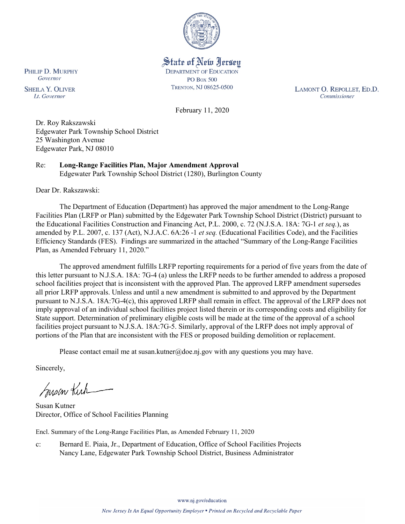

State of New Jersey **DEPARTMENT OF EDUCATION PO Box 500** TRENTON, NJ 08625-0500

LAMONT O. REPOLLET, ED.D. Commissioner

February 11, 2020

Dr. Roy Rakszawski Edgewater Park Township School District 25 Washington Avenue Edgewater Park, NJ 08010

Re: **Long-Range Facilities Plan, Major Amendment Approval** Edgewater Park Township School District (1280), Burlington County

Dear Dr. Rakszawski:

The Department of Education (Department) has approved the major amendment to the Long-Range Facilities Plan (LRFP or Plan) submitted by the Edgewater Park Township School District (District) pursuant to the Educational Facilities Construction and Financing Act, P.L. 2000, c. 72 (N.J.S.A. 18A: 7G-1 *et seq.*), as amended by P.L. 2007, c. 137 (Act), N.J.A.C. 6A:26 -1 *et seq.* (Educational Facilities Code), and the Facilities Efficiency Standards (FES). Findings are summarized in the attached "Summary of the Long-Range Facilities Plan, as Amended February 11, 2020."

The approved amendment fulfills LRFP reporting requirements for a period of five years from the date of this letter pursuant to N.J.S.A. 18A: 7G-4 (a) unless the LRFP needs to be further amended to address a proposed school facilities project that is inconsistent with the approved Plan. The approved LRFP amendment supersedes all prior LRFP approvals. Unless and until a new amendment is submitted to and approved by the Department pursuant to N.J.S.A. 18A:7G-4(c), this approved LRFP shall remain in effect. The approval of the LRFP does not imply approval of an individual school facilities project listed therein or its corresponding costs and eligibility for State support. Determination of preliminary eligible costs will be made at the time of the approval of a school facilities project pursuant to N.J.S.A. 18A:7G-5. Similarly, approval of the LRFP does not imply approval of portions of the Plan that are inconsistent with the FES or proposed building demolition or replacement.

Please contact email me at susan.kutner@doe.nj.gov with any questions you may have.

Sincerely,

Susan Kich

Susan Kutner Director, Office of School Facilities Planning

Encl. Summary of the Long-Range Facilities Plan, as Amended February 11, 2020

c: Bernard E. Piaia, Jr., Department of Education, Office of School Facilities Projects Nancy Lane, Edgewater Park Township School District, Business Administrator

PHILIP D. MURPHY Governor

**SHEILA Y. OLIVER** Lt. Governor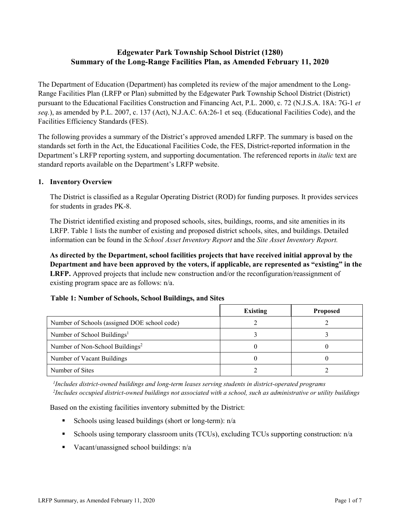# **Edgewater Park Township School District (1280) Summary of the Long-Range Facilities Plan, as Amended February 11, 2020**

The Department of Education (Department) has completed its review of the major amendment to the Long-Range Facilities Plan (LRFP or Plan) submitted by the Edgewater Park Township School District (District) pursuant to the Educational Facilities Construction and Financing Act, P.L. 2000, c. 72 (N.J.S.A. 18A: 7G-1 *et seq.*), as amended by P.L. 2007, c. 137 (Act), N.J.A.C. 6A:26-1 et seq. (Educational Facilities Code), and the Facilities Efficiency Standards (FES).

The following provides a summary of the District's approved amended LRFP. The summary is based on the standards set forth in the Act, the Educational Facilities Code, the FES, District-reported information in the Department's LRFP reporting system, and supporting documentation. The referenced reports in *italic* text are standard reports available on the Department's LRFP website.

### **1. Inventory Overview**

The District is classified as a Regular Operating District (ROD) for funding purposes. It provides services for students in grades PK-8.

The District identified existing and proposed schools, sites, buildings, rooms, and site amenities in its LRFP. Table 1 lists the number of existing and proposed district schools, sites, and buildings. Detailed information can be found in the *School Asset Inventory Report* and the *Site Asset Inventory Report.*

**As directed by the Department, school facilities projects that have received initial approval by the Department and have been approved by the voters, if applicable, are represented as "existing" in the LRFP.** Approved projects that include new construction and/or the reconfiguration/reassignment of existing program space are as follows: n/a.

|  |  | Table 1: Number of Schools, School Buildings, and Sites |  |
|--|--|---------------------------------------------------------|--|
|--|--|---------------------------------------------------------|--|

|                                              | <b>Existing</b> | <b>Proposed</b> |
|----------------------------------------------|-----------------|-----------------|
| Number of Schools (assigned DOE school code) |                 |                 |
| Number of School Buildings <sup>1</sup>      |                 |                 |
| Number of Non-School Buildings <sup>2</sup>  |                 |                 |
| Number of Vacant Buildings                   |                 |                 |
| Number of Sites                              |                 |                 |

*1 Includes district-owned buildings and long-term leases serving students in district-operated programs 2 Includes occupied district-owned buildings not associated with a school, such as administrative or utility buildings*

Based on the existing facilities inventory submitted by the District:

- Schools using leased buildings (short or long-term):  $n/a$
- Schools using temporary classroom units (TCUs), excluding TCUs supporting construction: n/a
- Vacant/unassigned school buildings:  $n/a$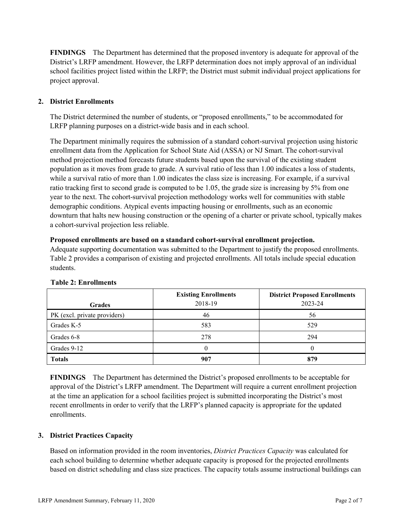**FINDINGS** The Department has determined that the proposed inventory is adequate for approval of the District's LRFP amendment. However, the LRFP determination does not imply approval of an individual school facilities project listed within the LRFP; the District must submit individual project applications for project approval.

## **2. District Enrollments**

The District determined the number of students, or "proposed enrollments," to be accommodated for LRFP planning purposes on a district-wide basis and in each school.

The Department minimally requires the submission of a standard cohort-survival projection using historic enrollment data from the Application for School State Aid (ASSA) or NJ Smart. The cohort-survival method projection method forecasts future students based upon the survival of the existing student population as it moves from grade to grade. A survival ratio of less than 1.00 indicates a loss of students, while a survival ratio of more than 1.00 indicates the class size is increasing. For example, if a survival ratio tracking first to second grade is computed to be 1.05, the grade size is increasing by 5% from one year to the next. The cohort-survival projection methodology works well for communities with stable demographic conditions. Atypical events impacting housing or enrollments, such as an economic downturn that halts new housing construction or the opening of a charter or private school, typically makes a cohort-survival projection less reliable.

### **Proposed enrollments are based on a standard cohort-survival enrollment projection.**

Adequate supporting documentation was submitted to the Department to justify the proposed enrollments. Table 2 provides a comparison of existing and projected enrollments. All totals include special education students.

|                              | <b>Existing Enrollments</b><br>2018-19 | <b>District Proposed Enrollments</b><br>2023-24 |
|------------------------------|----------------------------------------|-------------------------------------------------|
| <b>Grades</b>                |                                        |                                                 |
| PK (excl. private providers) | 46                                     | 56                                              |
| Grades K-5                   | 583                                    | 529                                             |
| Grades 6-8                   | 278                                    | 294                                             |
| Grades 9-12                  |                                        |                                                 |
| <b>Totals</b>                | 907                                    | 879                                             |

## **Table 2: Enrollments**

**FINDINGS** The Department has determined the District's proposed enrollments to be acceptable for approval of the District's LRFP amendment. The Department will require a current enrollment projection at the time an application for a school facilities project is submitted incorporating the District's most recent enrollments in order to verify that the LRFP's planned capacity is appropriate for the updated enrollments.

## **3. District Practices Capacity**

Based on information provided in the room inventories, *District Practices Capacity* was calculated for each school building to determine whether adequate capacity is proposed for the projected enrollments based on district scheduling and class size practices. The capacity totals assume instructional buildings can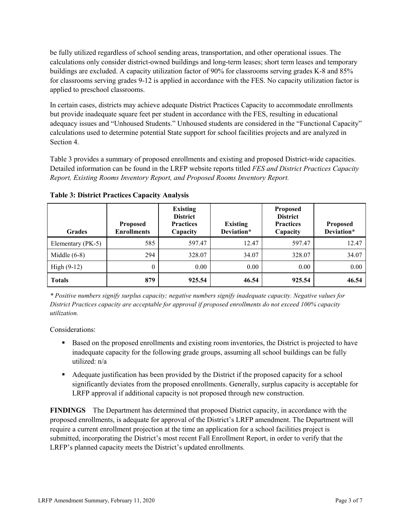be fully utilized regardless of school sending areas, transportation, and other operational issues. The calculations only consider district-owned buildings and long-term leases; short term leases and temporary buildings are excluded. A capacity utilization factor of 90% for classrooms serving grades K-8 and 85% for classrooms serving grades 9-12 is applied in accordance with the FES. No capacity utilization factor is applied to preschool classrooms.

In certain cases, districts may achieve adequate District Practices Capacity to accommodate enrollments but provide inadequate square feet per student in accordance with the FES, resulting in educational adequacy issues and "Unhoused Students." Unhoused students are considered in the "Functional Capacity" calculations used to determine potential State support for school facilities projects and are analyzed in Section 4.

Table 3 provides a summary of proposed enrollments and existing and proposed District-wide capacities. Detailed information can be found in the LRFP website reports titled *FES and District Practices Capacity Report, Existing Rooms Inventory Report, and Proposed Rooms Inventory Report.*

| <b>Grades</b>     | <b>Proposed</b><br><b>Enrollments</b> | <b>Existing</b><br><b>District</b><br><b>Practices</b><br>Capacity | <b>Existing</b><br>Deviation* | <b>Proposed</b><br><b>District</b><br><b>Practices</b><br>Capacity | <b>Proposed</b><br>Deviation* |
|-------------------|---------------------------------------|--------------------------------------------------------------------|-------------------------------|--------------------------------------------------------------------|-------------------------------|
| Elementary (PK-5) | 585                                   | 597.47                                                             | 12.47                         | 597.47                                                             | 12.47                         |
| Middle $(6-8)$    | 294                                   | 328.07                                                             | 34.07                         | 328.07                                                             | 34.07                         |
| High $(9-12)$     | $\theta$                              | 0.00                                                               | 0.00                          | 0.00                                                               | 0.00                          |
| <b>Totals</b>     | 879                                   | 925.54                                                             | 46.54                         | 925.54                                                             | 46.54                         |

**Table 3: District Practices Capacity Analysis**

*\* Positive numbers signify surplus capacity; negative numbers signify inadequate capacity. Negative values for District Practices capacity are acceptable for approval if proposed enrollments do not exceed 100% capacity utilization.*

Considerations:

- **Based on the proposed enrollments and existing room inventories, the District is projected to have** inadequate capacity for the following grade groups, assuming all school buildings can be fully utilized: n/a
- Adequate justification has been provided by the District if the proposed capacity for a school significantly deviates from the proposed enrollments. Generally, surplus capacity is acceptable for LRFP approval if additional capacity is not proposed through new construction.

**FINDINGS**The Department has determined that proposed District capacity, in accordance with the proposed enrollments, is adequate for approval of the District's LRFP amendment. The Department will require a current enrollment projection at the time an application for a school facilities project is submitted, incorporating the District's most recent Fall Enrollment Report, in order to verify that the LRFP's planned capacity meets the District's updated enrollments.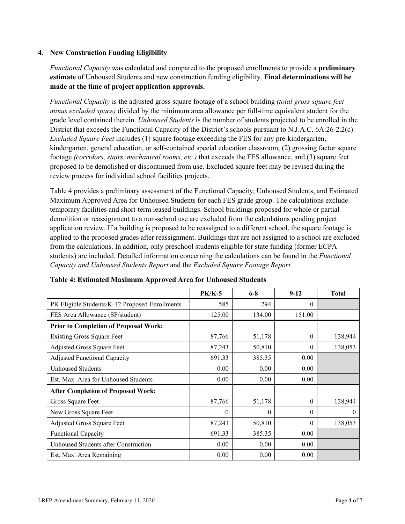### **4. New Construction Funding Eligibility**

*Functional Capacity* was calculated and compared to the proposed enrollments to provide a **preliminary estimate** of Unhoused Students and new construction funding eligibility. **Final determinations will be made at the time of project application approvals.**

*Functional Capacity* is the adjusted gross square footage of a school building *(total gross square feet minus excluded space)* divided by the minimum area allowance per full-time equivalent student for the grade level contained therein. *Unhoused Students* is the number of students projected to be enrolled in the District that exceeds the Functional Capacity of the District's schools pursuant to N.J.A.C. 6A:26-2.2(c). *Excluded Square Feet* includes (1) square footage exceeding the FES for any pre-kindergarten, kindergarten, general education, or self-contained special education classroom; (2) grossing factor square footage *(corridors, stairs, mechanical rooms, etc.)* that exceeds the FES allowance, and (3) square feet proposed to be demolished or discontinued from use. Excluded square feet may be revised during the review process for individual school facilities projects.

Table 4 provides a preliminary assessment of the Functional Capacity, Unhoused Students, and Estimated Maximum Approved Area for Unhoused Students for each FES grade group. The calculations exclude temporary facilities and short-term leased buildings. School buildings proposed for whole or partial demolition or reassignment to a non-school use are excluded from the calculations pending project application review. If a building is proposed to be reassigned to a different school, the square footage is applied to the proposed grades after reassignment. Buildings that are not assigned to a school are excluded from the calculations. In addition, only preschool students eligible for state funding (former ECPA students) are included. Detailed information concerning the calculations can be found in the *Functional Capacity and Unhoused Students Report* and the *Excluded Square Footage Report.*

|                                                | <b>PK/K-5</b> | $6 - 8$  | $9 - 12$ | <b>Total</b> |
|------------------------------------------------|---------------|----------|----------|--------------|
| PK Eligible Students/K-12 Proposed Enrollments | 585           | 294      | $\theta$ |              |
| FES Area Allowance (SF/student)                | 125.00        | 134.00   | 151.00   |              |
| <b>Prior to Completion of Proposed Work:</b>   |               |          |          |              |
| <b>Existing Gross Square Feet</b>              | 87,766        | 51,178   | $\Omega$ | 138,944      |
| Adjusted Gross Square Feet                     | 87,243        | 50,810   | $\Omega$ | 138,053      |
| <b>Adjusted Functional Capacity</b>            | 691.33        | 385.35   | 0.00     |              |
| <b>Unhoused Students</b>                       | 0.00          | 0.00     | 0.00     |              |
| Est. Max. Area for Unhoused Students           | 0.00          | 0.00     | 0.00     |              |
| <b>After Completion of Proposed Work:</b>      |               |          |          |              |
| Gross Square Feet                              | 87,766        | 51,178   | $\theta$ | 138,944      |
| New Gross Square Feet                          | $\theta$      | $\theta$ | $\Omega$ | $\theta$     |
| Adjusted Gross Square Feet                     | 87,243        | 50,810   | $\Omega$ | 138,053      |
| <b>Functional Capacity</b>                     | 691.33        | 385.35   | 0.00     |              |
| Unhoused Students after Construction           | 0.00          | 0.00     | 0.00     |              |
| Est. Max. Area Remaining                       | 0.00          | 0.00     | 0.00     |              |

#### **Table 4: Estimated Maximum Approved Area for Unhoused Students**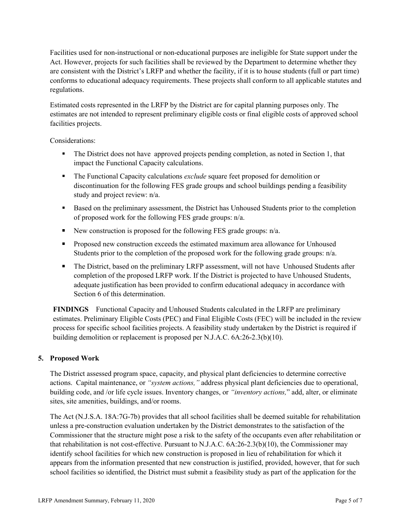Facilities used for non-instructional or non-educational purposes are ineligible for State support under the Act. However, projects for such facilities shall be reviewed by the Department to determine whether they are consistent with the District's LRFP and whether the facility, if it is to house students (full or part time) conforms to educational adequacy requirements. These projects shall conform to all applicable statutes and regulations.

Estimated costs represented in the LRFP by the District are for capital planning purposes only. The estimates are not intended to represent preliminary eligible costs or final eligible costs of approved school facilities projects.

Considerations:

- The District does not have approved projects pending completion, as noted in Section 1, that impact the Functional Capacity calculations.
- The Functional Capacity calculations *exclude* square feet proposed for demolition or discontinuation for the following FES grade groups and school buildings pending a feasibility study and project review: n/a.
- Based on the preliminary assessment, the District has Unhoused Students prior to the completion of proposed work for the following FES grade groups: n/a.
- New construction is proposed for the following FES grade groups:  $n/a$ .
- **Proposed new construction exceeds the estimated maximum area allowance for Unhoused** Students prior to the completion of the proposed work for the following grade groups: n/a.
- The District, based on the preliminary LRFP assessment, will not have Unhoused Students after completion of the proposed LRFP work. If the District is projected to have Unhoused Students, adequate justification has been provided to confirm educational adequacy in accordance with Section 6 of this determination.

**FINDINGS** Functional Capacity and Unhoused Students calculated in the LRFP are preliminary estimates. Preliminary Eligible Costs (PEC) and Final Eligible Costs (FEC) will be included in the review process for specific school facilities projects. A feasibility study undertaken by the District is required if building demolition or replacement is proposed per N.J.A.C. 6A:26-2.3(b)(10).

## **5. Proposed Work**

The District assessed program space, capacity, and physical plant deficiencies to determine corrective actions. Capital maintenance, or *"system actions,"* address physical plant deficiencies due to operational, building code, and /or life cycle issues. Inventory changes, or *"inventory actions,*" add, alter, or eliminate sites, site amenities, buildings, and/or rooms.

The Act (N.J.S.A. 18A:7G-7b) provides that all school facilities shall be deemed suitable for rehabilitation unless a pre-construction evaluation undertaken by the District demonstrates to the satisfaction of the Commissioner that the structure might pose a risk to the safety of the occupants even after rehabilitation or that rehabilitation is not cost-effective. Pursuant to N.J.A.C. 6A:26-2.3(b)(10), the Commissioner may identify school facilities for which new construction is proposed in lieu of rehabilitation for which it appears from the information presented that new construction is justified, provided, however, that for such school facilities so identified, the District must submit a feasibility study as part of the application for the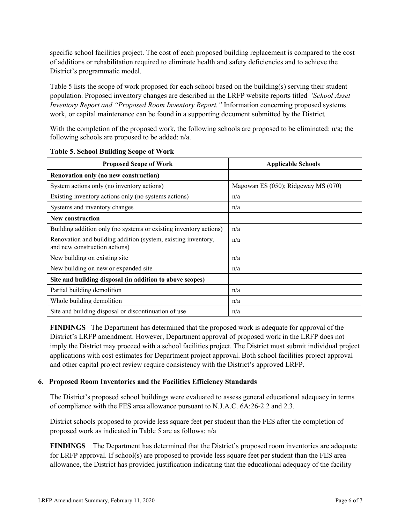specific school facilities project. The cost of each proposed building replacement is compared to the cost of additions or rehabilitation required to eliminate health and safety deficiencies and to achieve the District's programmatic model.

Table 5 lists the scope of work proposed for each school based on the building(s) serving their student population. Proposed inventory changes are described in the LRFP website reports titled *"School Asset Inventory Report and "Proposed Room Inventory Report."* Information concerning proposed systems work, or capital maintenance can be found in a supporting document submitted by the District.

With the completion of the proposed work, the following schools are proposed to be eliminated: n/a; the following schools are proposed to be added: n/a.

| <b>Proposed Scope of Work</b>                                                                  | <b>Applicable Schools</b>           |  |  |
|------------------------------------------------------------------------------------------------|-------------------------------------|--|--|
| Renovation only (no new construction)                                                          |                                     |  |  |
| System actions only (no inventory actions)                                                     | Magowan ES (050); Ridgeway MS (070) |  |  |
| Existing inventory actions only (no systems actions)                                           | n/a                                 |  |  |
| Systems and inventory changes                                                                  | n/a                                 |  |  |
| <b>New construction</b>                                                                        |                                     |  |  |
| Building addition only (no systems or existing inventory actions)                              | n/a                                 |  |  |
| Renovation and building addition (system, existing inventory,<br>and new construction actions) | n/a                                 |  |  |
| New building on existing site                                                                  | n/a                                 |  |  |
| New building on new or expanded site                                                           | n/a                                 |  |  |
| Site and building disposal (in addition to above scopes)                                       |                                     |  |  |
| Partial building demolition                                                                    | n/a                                 |  |  |
| Whole building demolition                                                                      | n/a                                 |  |  |
| Site and building disposal or discontinuation of use                                           | n/a                                 |  |  |

**Table 5. School Building Scope of Work**

**FINDINGS** The Department has determined that the proposed work is adequate for approval of the District's LRFP amendment. However, Department approval of proposed work in the LRFP does not imply the District may proceed with a school facilities project. The District must submit individual project applications with cost estimates for Department project approval. Both school facilities project approval and other capital project review require consistency with the District's approved LRFP.

#### **6. Proposed Room Inventories and the Facilities Efficiency Standards**

The District's proposed school buildings were evaluated to assess general educational adequacy in terms of compliance with the FES area allowance pursuant to N.J.A.C. 6A:26-2.2 and 2.3.

District schools proposed to provide less square feet per student than the FES after the completion of proposed work as indicated in Table 5 are as follows: n/a

**FINDINGS** The Department has determined that the District's proposed room inventories are adequate for LRFP approval. If school(s) are proposed to provide less square feet per student than the FES area allowance, the District has provided justification indicating that the educational adequacy of the facility